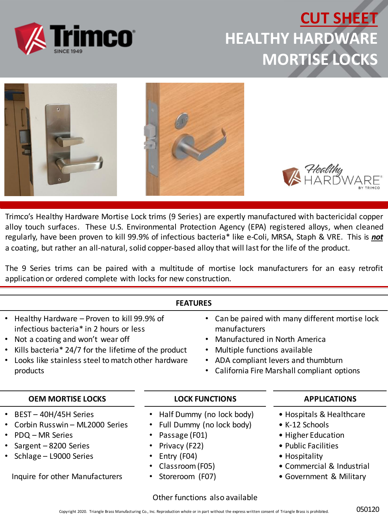

### **CUT SHEET HEALTHY HARDWARE MORTISE LOCKS**



Trimco's Healthy Hardware Mortise Lock trims (9 Series) are expertly manufactured with bactericidal copper alloy touch surfaces. These U.S. Environmental Protection Agency (EPA) registered alloys, when cleaned regularly, have been proven to kill 99.9% of infectious bacteria\* like e-Coli, MRSA, Staph & VRE. This is *not* a coating, but rather an all-natural, solid copper-based alloy that will last for the life of the product.

The 9 Series trims can be paired with a multitude of mortise lock manufacturers for an easy retrofit application or ordered complete with locks for new construction.

| <b>FEATURES</b> |
|-----------------|
|-----------------|

- Healthy Hardware Proven to kill 99.9% of infectious bacteria\* in 2 hours or less
- Not a coating and won't wear off
- Kills bacteria\* 24/7 for the lifetime of the product
- Looks like stainless steel to match other hardware products

#### **OEM MORTISE LOCKS**

- BEST 40H/45H Series
- Corbin Russwin ML2000 Series
- PDQ MR Series
- Sargent 8200 Series
- Schlage L9000 Series

Inquire for other Manufacturers

#### **LOCK FUNCTIONS**

manufacturers

- Half Dummy (no lock body)
- Full Dummy (no lock body)
- Passage (F01)
- Privacy (F22)
- Entry (F04)
- Classroom (F05)
- Storeroom (F07)

#### **APPLICATIONS**

- Hospitals & Healthcare
- K-12 Schools

• Can be paired with many different mortise lock

• Manufactured in North America

• ADA compliant levers and thumbturn

• California Fire Marshall compliant options

• Multiple functions available

- Higher Education
- Public Facilities
- Hospitality
- Commercial & Industrial
- Government & Military